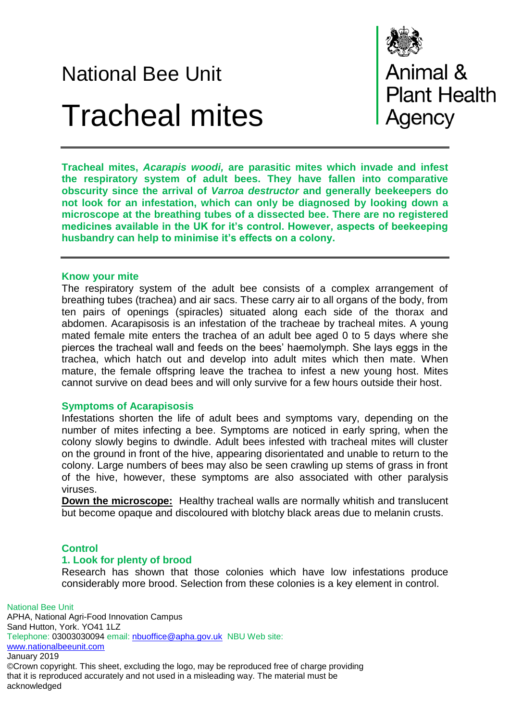# National Bee Unit Tracheal mites



**Animal &<br>Plant Health** gency

**Tracheal mites,** *Acarapis woodi,* **are parasitic mites which invade and infest the respiratory system of adult bees. They have fallen into comparative obscurity since the arrival of** *Varroa destructor* **and generally beekeepers do not look for an infestation, which can only be diagnosed by looking down a microscope at the breathing tubes of a dissected bee. There are no registered medicines available in the UK for it's control. However, aspects of beekeeping husbandry can help to minimise it's effects on a colony.**

### **Know your mite**

The respiratory system of the adult bee consists of a complex arrangement of breathing tubes (trachea) and air sacs. These carry air to all organs of the body, from ten pairs of openings (spiracles) situated along each side of the thorax and abdomen. Acarapisosis is an infestation of the tracheae by tracheal mites. A young mated female mite enters the trachea of an adult bee aged 0 to 5 days where she pierces the tracheal wall and feeds on the bees' haemolymph. She lays eggs in the trachea, which hatch out and develop into adult mites which then mate. When mature, the female offspring leave the trachea to infest a new young host. Mites cannot survive on dead bees and will only survive for a few hours outside their host.

### **Symptoms of Acarapisosis**

Infestations shorten the life of adult bees and symptoms vary, depending on the number of mites infecting a bee. Symptoms are noticed in early spring, when the colony slowly begins to dwindle. Adult bees infested with tracheal mites will cluster on the ground in front of the hive, appearing disorientated and unable to return to the colony. Large numbers of bees may also be seen crawling up stems of grass in front of the hive, however, these symptoms are also associated with other paralysis viruses.

**Down the microscope:** Healthy tracheal walls are normally whitish and translucent but become opaque and discoloured with blotchy black areas due to melanin crusts.

### **Control**

acknowledged

### **1. Look for plenty of brood**

Research has shown that those colonies which have low infestations produce considerably more brood. Selection from these colonies is a key element in control.

National Bee Unit APHA, National Agri-Food Innovation Campus Sand Hutton, York. YO41 1LZ Telephone: 03003030094 email: [nbuoffice@apha.gov.uk](mailto:nbuoffice@apha.gov.uk) NBU Web site: [www.nationalbeeunit.com](http://www.nationalbeeunit.com/) January 2019 ©Crown copyright. This sheet, excluding the logo, may be reproduced free of charge providing that it is reproduced accurately and not used in a misleading way. The material must be